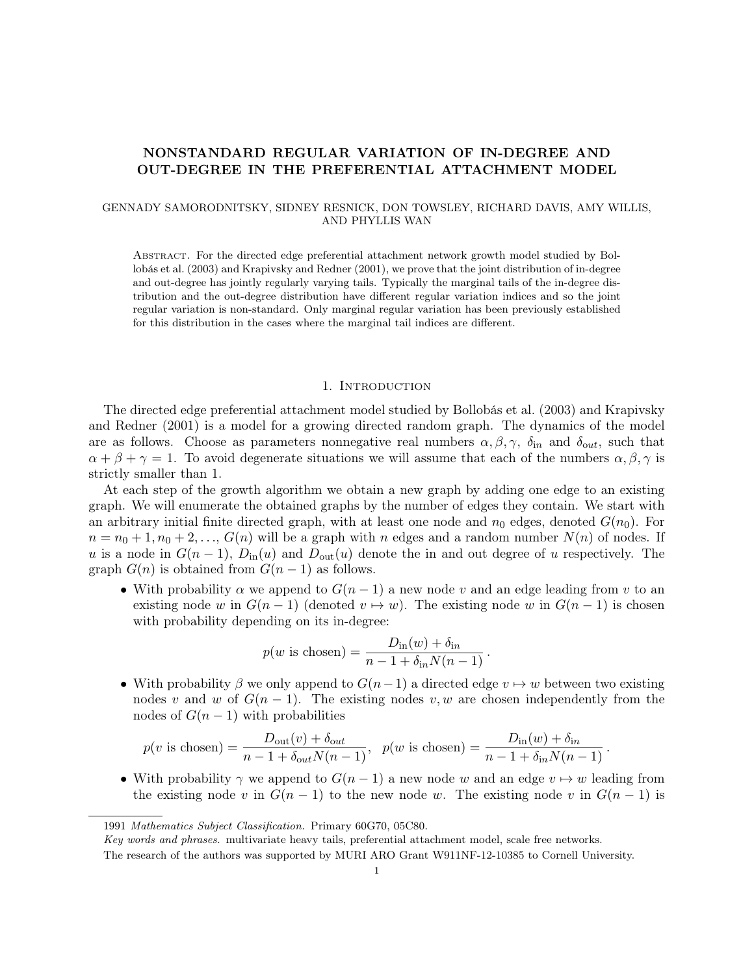# NONSTANDARD REGULAR VARIATION OF IN-DEGREE AND OUT-DEGREE IN THE PREFERENTIAL ATTACHMENT MODEL

## GENNADY SAMORODNITSKY, SIDNEY RESNICK, DON TOWSLEY, RICHARD DAVIS, AMY WILLIS, AND PHYLLIS WAN

Abstract. For the directed edge preferential attachment network growth model studied by Bollobás et al. (2003) and Krapivsky and Redner (2001), we prove that the joint distribution of in-degree and out-degree has jointly regularly varying tails. Typically the marginal tails of the in-degree distribution and the out-degree distribution have different regular variation indices and so the joint regular variation is non-standard. Only marginal regular variation has been previously established for this distribution in the cases where the marginal tail indices are different.

## 1. Introduction

The directed edge preferential attachment model studied by Bollobás et al. (2003) and Krapivsky and Redner (2001) is a model for a growing directed random graph. The dynamics of the model are as follows. Choose as parameters nonnegative real numbers  $\alpha, \beta, \gamma$ ,  $\delta_{in}$  and  $\delta_{out}$ , such that  $\alpha + \beta + \gamma = 1$ . To avoid degenerate situations we will assume that each of the numbers  $\alpha, \beta, \gamma$  is strictly smaller than 1.

At each step of the growth algorithm we obtain a new graph by adding one edge to an existing graph. We will enumerate the obtained graphs by the number of edges they contain. We start with an arbitrary initial finite directed graph, with at least one node and  $n_0$  edges, denoted  $G(n_0)$ . For  $n = n_0 + 1, n_0 + 2, \ldots, G(n)$  will be a graph with n edges and a random number  $N(n)$  of nodes. If u is a node in  $G(n-1)$ ,  $D_{in}(u)$  and  $D_{out}(u)$  denote the in and out degree of u respectively. The graph  $G(n)$  is obtained from  $G(n-1)$  as follows.

• With probability  $\alpha$  we append to  $G(n-1)$  a new node v and an edge leading from v to an existing node w in  $G(n-1)$  (denoted  $v \mapsto w$ ). The existing node w in  $G(n-1)$  is chosen with probability depending on its in-degree:

$$
p(w \text{ is chosen}) = \frac{D_{\text{in}}(w) + \delta_{\text{in}}}{n - 1 + \delta_{\text{in}} N(n - 1)}.
$$

• With probability  $\beta$  we only append to  $G(n-1)$  a directed edge  $v \mapsto w$  between two existing nodes v and w of  $G(n-1)$ . The existing nodes v, w are chosen independently from the nodes of  $G(n-1)$  with probabilities

$$
p(v \text{ is chosen}) = \frac{D_{\text{out}}(v) + \delta_{\text{out}}}{n - 1 + \delta_{\text{out}} N(n - 1)}, \ \ p(w \text{ is chosen}) = \frac{D_{\text{in}}(w) + \delta_{\text{in}}}{n - 1 + \delta_{\text{in}} N(n - 1)}.
$$

• With probability  $\gamma$  we append to  $G(n-1)$  a new node w and an edge  $v \mapsto w$  leading from the existing node v in  $G(n-1)$  to the new node w. The existing node v in  $G(n-1)$  is

<sup>1991</sup> Mathematics Subject Classification. Primary 60G70, 05C80.

Key words and phrases. multivariate heavy tails, preferential attachment model, scale free networks.

The research of the authors was supported by MURI ARO Grant W911NF-12-10385 to Cornell University.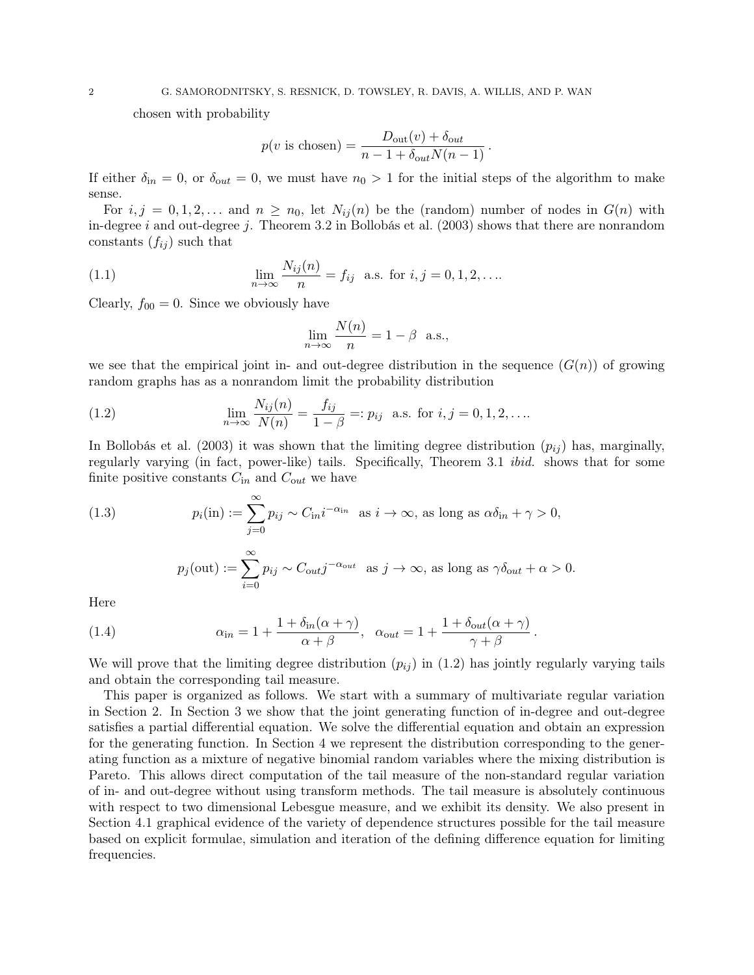chosen with probability

$$
p(v \text{ is chosen}) = \frac{D_{\text{out}}(v) + \delta_{\text{out}}}{n - 1 + \delta_{\text{out}} N(n - 1)}.
$$

If either  $\delta_{in} = 0$ , or  $\delta_{out} = 0$ , we must have  $n_0 > 1$  for the initial steps of the algorithm to make sense.

For  $i, j = 0, 1, 2, \ldots$  and  $n \geq n_0$ , let  $N_{ij}(n)$  be the (random) number of nodes in  $G(n)$  with in-degree i and out-degree j. Theorem 3.2 in Bollobás et al.  $(2003)$  shows that there are nonrandom constants  $(f_{ij})$  such that

(1.1) 
$$
\lim_{n \to \infty} \frac{N_{ij}(n)}{n} = f_{ij} \text{ a.s. for } i, j = 0, 1, 2, ...
$$

Clearly,  $f_{00} = 0$ . Since we obviously have

$$
\lim_{n \to \infty} \frac{N(n)}{n} = 1 - \beta \text{ a.s.},
$$

we see that the empirical joint in- and out-degree distribution in the sequence  $(G(n))$  of growing random graphs has as a nonrandom limit the probability distribution

(1.2) 
$$
\lim_{n \to \infty} \frac{N_{ij}(n)}{N(n)} = \frac{f_{ij}}{1 - \beta} =: p_{ij} \text{ a.s. for } i, j = 0, 1, 2, ...
$$

In Bollobás et al. (2003) it was shown that the limiting degree distribution  $(p_{ij})$  has, marginally, regularly varying (in fact, power-like) tails. Specifically, Theorem 3.1 ibid. shows that for some finite positive constants  $C_{in}$  and  $C_{out}$  we have

(1.3) 
$$
p_i(\text{in}) := \sum_{j=0}^{\infty} p_{ij} \sim C_{\text{in}} i^{-\alpha_{\text{in}}} \text{ as } i \to \infty, \text{ as long as } \alpha \delta_{\text{in}} + \gamma > 0,
$$

$$
p_j(\text{out}) := \sum_{i=0}^{\infty} p_{ij} \sim C_{\text{out}} j^{-\alpha_{\text{out}}} \text{ as } j \to \infty, \text{ as long as } \gamma \delta_{\text{out}} + \alpha > 0.
$$

Here

(1.4) 
$$
\alpha_{\text{in}} = 1 + \frac{1 + \delta_{\text{in}}(\alpha + \gamma)}{\alpha + \beta}, \quad \alpha_{\text{out}} = 1 + \frac{1 + \delta_{\text{out}}(\alpha + \gamma)}{\gamma + \beta}.
$$

We will prove that the limiting degree distribution  $(p_{ij})$  in (1.2) has jointly regularly varying tails and obtain the corresponding tail measure.

This paper is organized as follows. We start with a summary of multivariate regular variation in Section 2. In Section 3 we show that the joint generating function of in-degree and out-degree satisfies a partial differential equation. We solve the differential equation and obtain an expression for the generating function. In Section 4 we represent the distribution corresponding to the generating function as a mixture of negative binomial random variables where the mixing distribution is Pareto. This allows direct computation of the tail measure of the non-standard regular variation of in- and out-degree without using transform methods. The tail measure is absolutely continuous with respect to two dimensional Lebesgue measure, and we exhibit its density. We also present in Section 4.1 graphical evidence of the variety of dependence structures possible for the tail measure based on explicit formulae, simulation and iteration of the defining difference equation for limiting frequencies.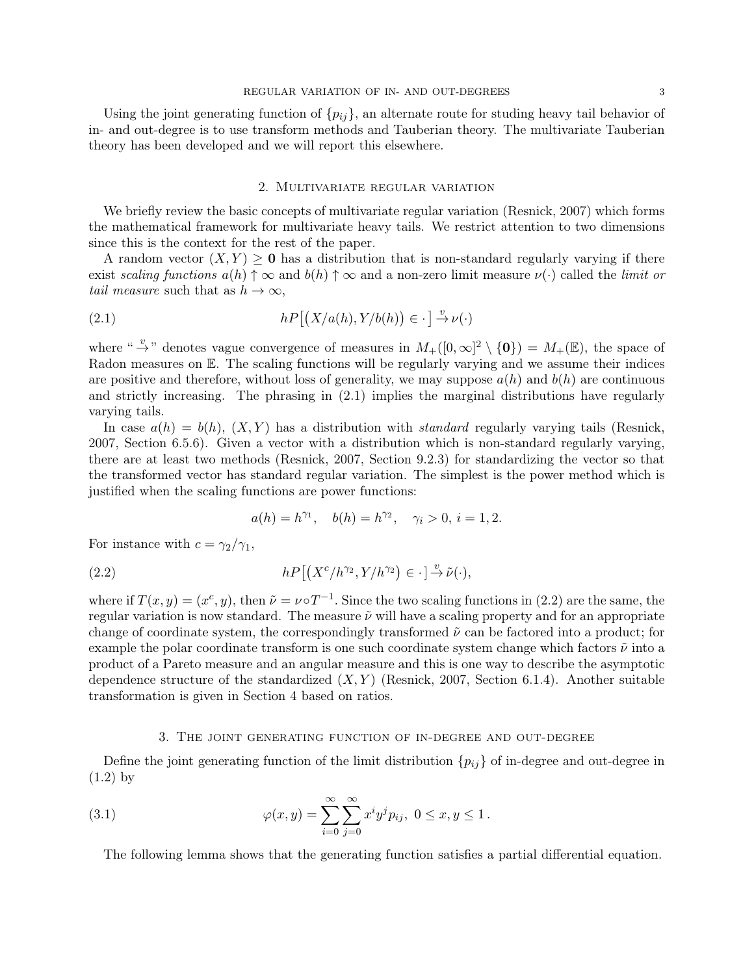Using the joint generating function of  $\{p_{ij}\}\$ , an alternate route for studing heavy tail behavior of in- and out-degree is to use transform methods and Tauberian theory. The multivariate Tauberian theory has been developed and we will report this elsewhere.

## 2. Multivariate regular variation

We briefly review the basic concepts of multivariate regular variation (Resnick, 2007) which forms the mathematical framework for multivariate heavy tails. We restrict attention to two dimensions since this is the context for the rest of the paper.

A random vector  $(X, Y) > 0$  has a distribution that is non-standard regularly varying if there exist scaling functions  $a(h) \uparrow \infty$  and  $b(h) \uparrow \infty$  and a non-zero limit measure  $\nu(\cdot)$  called the limit or tail measure such that as  $h \to \infty$ ,

(2.1) 
$$
hP\big[\big(X/a(h), Y/b(h)\big) \in \cdot \big] \stackrel{v}{\to} \nu(\cdot)
$$

where " $\rightarrow$ " denotes vague convergence of measures in  $M_{+}([0,\infty]^2 \setminus \{0\}) = M_{+}(\mathbb{E})$ , the space of Radon measures on E. The scaling functions will be regularly varying and we assume their indices are positive and therefore, without loss of generality, we may suppose  $a(h)$  and  $b(h)$  are continuous and strictly increasing. The phrasing in (2.1) implies the marginal distributions have regularly varying tails.

In case  $a(h) = b(h)$ ,  $(X, Y)$  has a distribution with *standard* regularly varying tails (Resnick, 2007, Section 6.5.6). Given a vector with a distribution which is non-standard regularly varying, there are at least two methods (Resnick, 2007, Section 9.2.3) for standardizing the vector so that the transformed vector has standard regular variation. The simplest is the power method which is justified when the scaling functions are power functions:

$$
a(h) = h^{\gamma_1}, \quad b(h) = h^{\gamma_2}, \quad \gamma_i > 0, \ i = 1, 2.
$$

For instance with  $c = \gamma_2/\gamma_1$ ,

(2.2) 
$$
hP\left[\left(X^{c}/h^{\gamma_2}, Y/h^{\gamma_2}\right) \in \cdot \right] \stackrel{v}{\to} \tilde{\nu}(\cdot),
$$

where if  $T(x, y) = (x^c, y)$ , then  $\tilde{\nu} = \nu \circ T^{-1}$ . Since the two scaling functions in (2.2) are the same, the regular variation is now standard. The measure  $\tilde{\nu}$  will have a scaling property and for an appropriate change of coordinate system, the correspondingly transformed  $\tilde{\nu}$  can be factored into a product; for example the polar coordinate transform is one such coordinate system change which factors  $\tilde{\nu}$  into a product of a Pareto measure and an angular measure and this is one way to describe the asymptotic dependence structure of the standardized  $(X, Y)$  (Resnick, 2007, Section 6.1.4). Another suitable transformation is given in Section 4 based on ratios.

### 3. The joint generating function of in-degree and out-degree

Define the joint generating function of the limit distribution  $\{p_{ij}\}\$  of in-degree and out-degree in (1.2) by

(3.1) 
$$
\varphi(x,y) = \sum_{i=0}^{\infty} \sum_{j=0}^{\infty} x^i y^j p_{ij}, \ 0 \le x, y \le 1.
$$

The following lemma shows that the generating function satisfies a partial differential equation.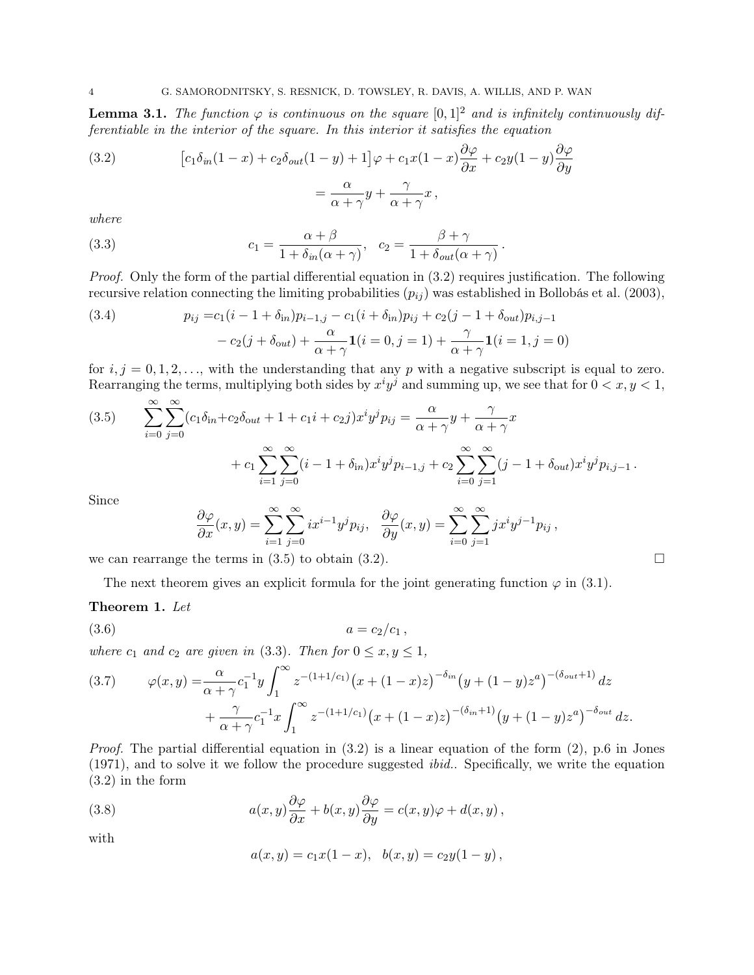## 4 G. SAMORODNITSKY, S. RESNICK, D. TOWSLEY, R. DAVIS, A. WILLIS, AND P. WAN

**Lemma 3.1.** The function  $\varphi$  is continuous on the square  $[0,1]^2$  and is infinitely continuously differentiable in the interior of the square. In this interior it satisfies the equation

(3.2) 
$$
\left[c_1 \delta_{in} (1-x) + c_2 \delta_{out} (1-y) + 1\right] \varphi + c_1 x (1-x) \frac{\partial \varphi}{\partial x} + c_2 y (1-y) \frac{\partial \varphi}{\partial y}
$$

$$
= \frac{\alpha}{\alpha + \gamma} y + \frac{\gamma}{\alpha + \gamma} x,
$$

where

(3.3) 
$$
c_1 = \frac{\alpha + \beta}{1 + \delta_{in}(\alpha + \gamma)}, \quad c_2 = \frac{\beta + \gamma}{1 + \delta_{out}(\alpha + \gamma)}.
$$

Proof. Only the form of the partial differential equation in (3.2) requires justification. The following recursive relation connecting the limiting probabilities  $(p_{ij})$  was established in Bollobás et al. (2003),

(3.4) 
$$
p_{ij} = c_1(i - 1 + \delta_{in})p_{i-1,j} - c_1(i + \delta_{in})p_{ij} + c_2(j - 1 + \delta_{out})p_{i,j-1} - c_2(j + \delta_{out}) + \frac{\alpha}{\alpha + \gamma}\mathbf{1}(i = 0, j = 1) + \frac{\gamma}{\alpha + \gamma}\mathbf{1}(i = 1, j = 0)
$$

for  $i, j = 0, 1, 2, \ldots$ , with the understanding that any p with a negative subscript is equal to zero. Rearranging the terms, multiplying both sides by  $x^i y^j$  and summing up, we see that for  $0 < x, y < 1$ ,

(3.5) 
$$
\sum_{i=0}^{\infty} \sum_{j=0}^{\infty} (c_1 \delta_{in} + c_2 \delta_{out} + 1 + c_1 i + c_2 j) x^i y^j p_{ij} = \frac{\alpha}{\alpha + \gamma} y + \frac{\gamma}{\alpha + \gamma} x + c_1 \sum_{i=1}^{\infty} \sum_{j=0}^{\infty} (i - 1 + \delta_{in}) x^i y^j p_{i-1,j} + c_2 \sum_{i=0}^{\infty} \sum_{j=1}^{\infty} (j - 1 + \delta_{out}) x^i y^j p_{i,j-1}.
$$

Since

$$
\frac{\partial \varphi}{\partial x}(x,y) = \sum_{i=1}^{\infty} \sum_{j=0}^{\infty} i x^{i-1} y^j p_{ij}, \quad \frac{\partial \varphi}{\partial y}(x,y) = \sum_{i=0}^{\infty} \sum_{j=1}^{\infty} j x^i y^{j-1} p_{ij},
$$

we can rearrange the terms in  $(3.5)$  to obtain  $(3.2)$ .

The next theorem gives an explicit formula for the joint generating function  $\varphi$  in (3.1).

## Theorem 1. Let

$$
(3.6) \t\t a = c_2/c_1,
$$

where  $c_1$  and  $c_2$  are given in (3.3). Then for  $0 \le x, y \le 1$ ,

(3.7) 
$$
\varphi(x,y) = \frac{\alpha}{\alpha + \gamma} c_1^{-1} y \int_1^{\infty} z^{-(1+1/c_1)} (x + (1-x)z)^{-\delta_{in}} (y + (1-y)z^a)^{-(\delta_{out}+1)} dz + \frac{\gamma}{\alpha + \gamma} c_1^{-1} x \int_1^{\infty} z^{-(1+1/c_1)} (x + (1-x)z)^{-(\delta_{in}+1)} (y + (1-y)z^a)^{-\delta_{out}} dz.
$$

*Proof.* The partial differential equation in  $(3.2)$  is a linear equation of the form  $(2)$ , p.6 in Jones (1971), and to solve it we follow the procedure suggested ibid.. Specifically, we write the equation (3.2) in the form

(3.8) 
$$
a(x,y)\frac{\partial\varphi}{\partial x} + b(x,y)\frac{\partial\varphi}{\partial y} = c(x,y)\varphi + d(x,y),
$$

with

$$
a(x,y) = c_1 x(1-x), \quad b(x,y) = c_2 y(1-y),
$$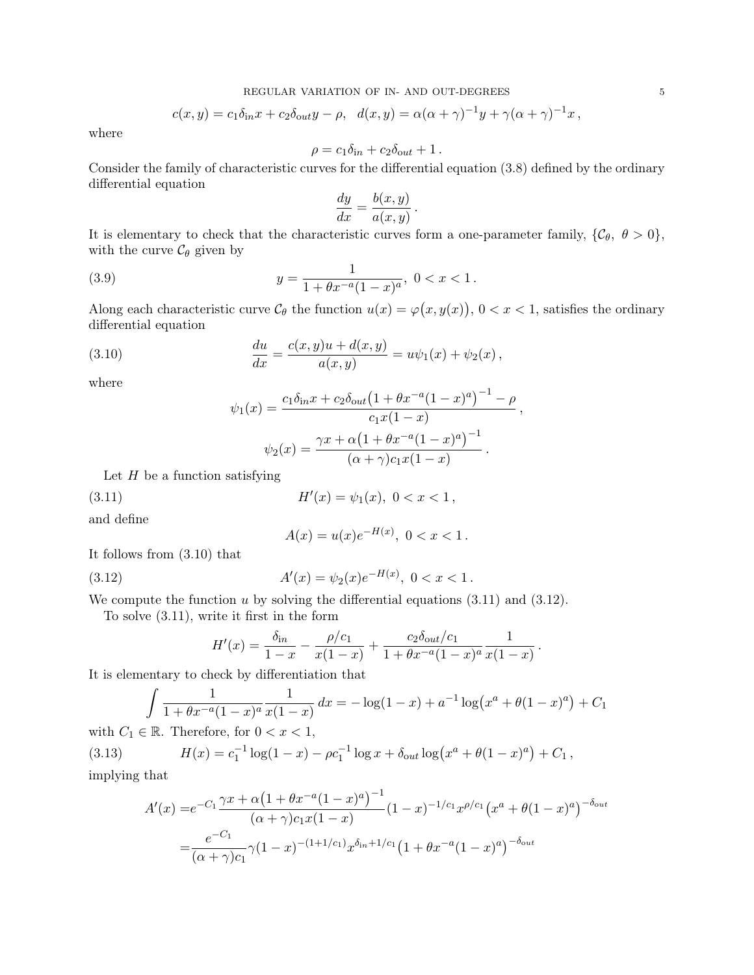−1

$$
c(x,y) = c_1 \delta_{\text{i}n} x + c_2 \delta_{\text{out}} y - \rho, \quad d(x,y) = \alpha (\alpha + \gamma)^{-1} y + \gamma (\alpha + \gamma)^{-1} x,
$$

where

$$
\rho = c_1 \delta_{\rm in} + c_2 \delta_{\rm out} + 1.
$$

Consider the family of characteristic curves for the differential equation (3.8) defined by the ordinary differential equation

$$
\frac{dy}{dx} = \frac{b(x, y)}{a(x, y)}.
$$

It is elementary to check that the characteristic curves form a one-parameter family,  $\{\mathcal{C}_{\theta}, \theta > 0\},\$ with the curve  $\mathcal{C}_{\theta}$  given by

(3.9) 
$$
y = \frac{1}{1 + \theta x^{-a} (1 - x)^a}, \ 0 < x < 1.
$$

Along each characteristic curve  $\mathcal{C}_{\theta}$  the function  $u(x) = \varphi(x, y(x)), 0 < x < 1$ , satisfies the ordinary differential equation

(3.10) 
$$
\frac{du}{dx} = \frac{c(x,y)u + d(x,y)}{a(x,y)} = u\psi_1(x) + \psi_2(x),
$$

where

$$
\psi_1(x) = \frac{c_1 \delta_{\text{in}} x + c_2 \delta_{\text{out}} (1 + \theta x^{-a} (1 - x)^a)^{-1} - \rho}{c_1 x (1 - x)},
$$

$$
\psi_2(x) = \frac{\gamma x + \alpha (1 + \theta x^{-a} (1 - x)^a)^{-1}}{(\alpha + \gamma) c_1 x (1 - x)}.
$$

Let  $H$  be a function satisfying

(3.11) 
$$
H'(x) = \psi_1(x), \ 0 < x < 1
$$

and define

$$
A(x) = u(x)e^{-H(x)}, \ 0 < x < 1.
$$

It follows from (3.10) that

(3.12) 
$$
A'(x) = \psi_2(x)e^{-H(x)}, \ 0 < x < 1.
$$

We compute the function u by solving the differential equations  $(3.11)$  and  $(3.12)$ .

To solve (3.11), write it first in the form

$$
H'(x) = \frac{\delta_{\text{in}}}{1-x} - \frac{\rho/c_1}{x(1-x)} + \frac{c_2 \delta_{\text{out}}/c_1}{1 + \theta x^{-a}(1-x)^a} \frac{1}{x(1-x)}
$$

.

It is elementary to check by differentiation that

$$
\int \frac{1}{1 + \theta x^{-a} (1 - x)^a} \frac{1}{x(1 - x)} dx = -\log(1 - x) + a^{-1} \log(x^a + \theta (1 - x)^a) + C_1
$$

with  $C_1 \in \mathbb{R}$ . Therefore, for  $0 < x < 1$ ,

(3.13) 
$$
H(x) = c_1^{-1} \log(1-x) - \rho c_1^{-1} \log x + \delta_{out} \log(x^a + \theta (1-x)^a) + C_1,
$$
   
implying that

implying that

$$
A'(x) = e^{-C_1} \frac{\gamma x + \alpha \left(1 + \theta x^{-a} (1 - x)^a\right)^{-1}}{(\alpha + \gamma)c_1 x (1 - x)} (1 - x)^{-1/c_1} x^{\rho/c_1} \left(x^a + \theta (1 - x)^a\right)^{-\delta_{\text{out}}} = \frac{e^{-C_1}}{(\alpha + \gamma)c_1} \gamma (1 - x)^{-(1 + 1/c_1)} x^{\delta_{\text{in}} + 1/c_1} \left(1 + \theta x^{-a} (1 - x)^a\right)^{-\delta_{\text{out}}}.
$$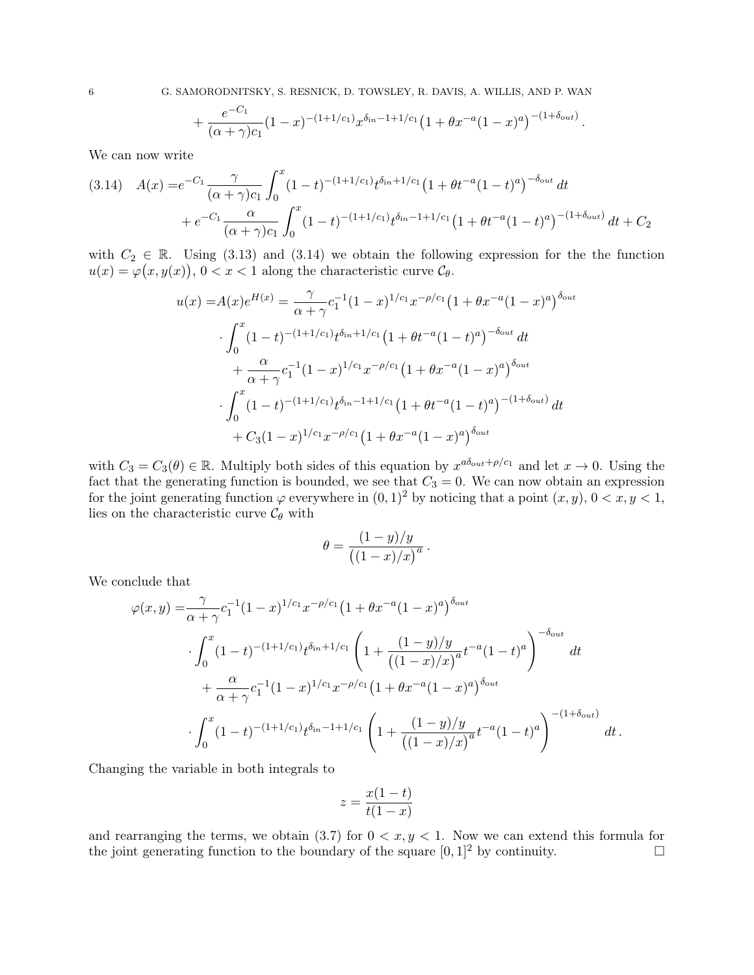6 G. SAMORODNITSKY, S. RESNICK, D. TOWSLEY, R. DAVIS, A. WILLIS, AND P. WAN

$$
+\frac{e^{-C_1}}{(\alpha+\gamma)c_1}(1-x)^{-(1+1/c_1)}x^{\delta_{in}-1+1/c_1}(1+\theta x^{-a}(1-x)^a)^{-(1+\delta_{out})}
$$

.

We can now write

$$
(3.14) \quad A(x) = e^{-C_1} \frac{\gamma}{(\alpha + \gamma)c_1} \int_0^x (1 - t)^{-(1 + 1/c_1)} t^{\delta_{\text{in}} + 1/c_1} (1 + \theta t^{-a} (1 - t)^a)^{-\delta_{\text{out}}} dt + e^{-C_1} \frac{\alpha}{(\alpha + \gamma)c_1} \int_0^x (1 - t)^{-(1 + 1/c_1)} t^{\delta_{\text{in}} - 1 + 1/c_1} (1 + \theta t^{-a} (1 - t)^a)^{-(1 + \delta_{\text{out}})} dt + C_2
$$

with  $C_2 \in \mathbb{R}$ . Using (3.13) and (3.14) we obtain the following expression for the the function  $u(x) = \varphi(x, y(x)), 0 < x < 1$  along the characteristic curve  $\mathcal{C}_{\theta}$ .

$$
u(x) = A(x)e^{H(x)} = \frac{\gamma}{\alpha + \gamma} c_1^{-1} (1 - x)^{1/c_1} x^{-\rho/c_1} (1 + \theta x^{-a} (1 - x)^a)^{\delta_{out}}
$$
  

$$
\cdot \int_0^x (1 - t)^{-(1 + 1/c_1)} t^{\delta_{in} + 1/c_1} (1 + \theta t^{-a} (1 - t)^a)^{-\delta_{out}} dt
$$
  

$$
+ \frac{\alpha}{\alpha + \gamma} c_1^{-1} (1 - x)^{1/c_1} x^{-\rho/c_1} (1 + \theta x^{-a} (1 - x)^a)^{\delta_{out}}
$$
  

$$
\cdot \int_0^x (1 - t)^{-(1 + 1/c_1)} t^{\delta_{in} - 1 + 1/c_1} (1 + \theta t^{-a} (1 - t)^a)^{-(1 + \delta_{out})} dt
$$
  

$$
+ C_3 (1 - x)^{1/c_1} x^{-\rho/c_1} (1 + \theta x^{-a} (1 - x)^a)^{\delta_{out}}
$$

with  $C_3 = C_3(\theta) \in \mathbb{R}$ . Multiply both sides of this equation by  $x^{a\delta_{\text{out}} + \rho/c_1}$  and let  $x \to 0$ . Using the fact that the generating function is bounded, we see that  $C_3 = 0$ . We can now obtain an expression for the joint generating function  $\varphi$  everywhere in  $(0, 1)^2$  by noticing that a point  $(x, y)$ ,  $0 < x, y < 1$ , lies on the characteristic curve  $\mathcal{C}_{\theta}$  with

$$
\theta = \frac{(1-y)/y}{\left((1-x)/x\right)^a}.
$$

We conclude that

$$
\varphi(x,y) = \frac{\gamma}{\alpha + \gamma} c_1^{-1} (1-x)^{1/c_1} x^{-\rho/c_1} \left(1 + \theta x^{-a} (1-x)^a\right)^{\delta_{out}} \n\cdot \int_0^x (1-t)^{-(1+1/c_1)} t^{\delta_{in}+1/c_1} \left(1 + \frac{(1-y)/y}{((1-x)/x)^a} t^{-a} (1-t)^a\right)^{-\delta_{out}} dt \n+ \frac{\alpha}{\alpha + \gamma} c_1^{-1} (1-x)^{1/c_1} x^{-\rho/c_1} \left(1 + \theta x^{-a} (1-x)^a\right)^{\delta_{out}} \n\cdot \int_0^x (1-t)^{-(1+1/c_1)} t^{\delta_{in} - 1 + 1/c_1} \left(1 + \frac{(1-y)/y}{((1-x)/x)^a} t^{-a} (1-t)^a\right)^{-(1+\delta_{out})} dt.
$$

Changing the variable in both integrals to

$$
z = \frac{x(1-t)}{t(1-x)}
$$

and rearranging the terms, we obtain (3.7) for  $0 < x, y < 1$ . Now we can extend this formula for the joint generating function to the boundary of the square  $[0, 1]^2$  by continuity.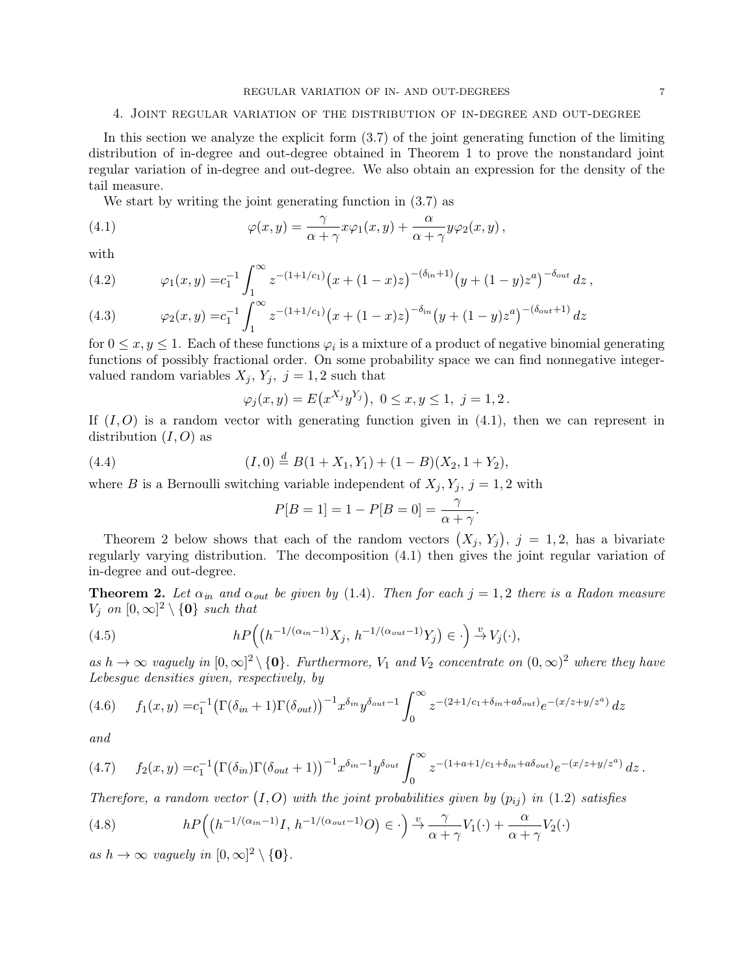## 4. Joint regular variation of the distribution of in-degree and out-degree

In this section we analyze the explicit form (3.7) of the joint generating function of the limiting distribution of in-degree and out-degree obtained in Theorem 1 to prove the nonstandard joint regular variation of in-degree and out-degree. We also obtain an expression for the density of the tail measure.

We start by writing the joint generating function in (3.7) as

(4.1) 
$$
\varphi(x,y) = \frac{\gamma}{\alpha + \gamma} x \varphi_1(x,y) + \frac{\alpha}{\alpha + \gamma} y \varphi_2(x,y),
$$

with

(4.2) 
$$
\varphi_1(x,y) = c_1^{-1} \int_1^{\infty} z^{-(1+1/c_1)} \big(x + (1-x)z\big)^{-(\delta_{\text{in}}+1)} \big(y + (1-y)z^a\big)^{-\delta_{\text{out}}} dz,
$$

(4.3) 
$$
\varphi_2(x,y) = c_1^{-1} \int_1^{\infty} z^{-(1+1/c_1)} (x + (1-x)z)^{-\delta_{in}} (y + (1-y)z^a)^{-(\delta_{out}+1)} dz
$$

for  $0 \le x, y \le 1$ . Each of these functions  $\varphi_i$  is a mixture of a product of negative binomial generating functions of possibly fractional order. On some probability space we can find nonnegative integervalued random variables  $X_j$ ,  $Y_j$ ,  $j = 1, 2$  such that

$$
\varphi_j(x, y) = E(x^{X_j}y^{Y_j}), \ 0 \le x, y \le 1, \ j = 1, 2.
$$

If  $(I, O)$  is a random vector with generating function given in  $(4.1)$ , then we can represent in distribution  $(I, O)$  as

(4.4) 
$$
(I,0) \stackrel{d}{=} B(1+X_1,Y_1) + (1-B)(X_2,1+Y_2),
$$

where B is a Bernoulli switching variable independent of  $X_j, Y_j, j = 1, 2$  with

$$
P[B = 1] = 1 - P[B = 0] = \frac{\gamma}{\alpha + \gamma}.
$$

Theorem 2 below shows that each of the random vectors  $(X_j, Y_j), j = 1, 2$ , has a bivariate regularly varying distribution. The decomposition (4.1) then gives the joint regular variation of in-degree and out-degree.

**Theorem 2.** Let  $\alpha_{in}$  and  $\alpha_{out}$  be given by (1.4). Then for each  $j = 1, 2$  there is a Radon measure  $V_j$  on  $[0,\infty]^2 \setminus \{0\}$  such that

(4.5) 
$$
hP\Big(\big(h^{-1/(\alpha_{in}-1)}X_j,\,h^{-1/(\alpha_{out}-1)}Y_j\big)\in\cdot\Big)\stackrel{v}{\to}V_j(\cdot),
$$

as  $h \to \infty$  vaguely in  $[0,\infty]^2 \setminus \{0\}$ . Furthermore,  $V_1$  and  $V_2$  concentrate on  $(0,\infty)^2$  where they have Lebesgue densities given, respectively, by

$$
(4.6) \t f_1(x,y) = c_1^{-1} \left( \Gamma(\delta_{in} + 1) \Gamma(\delta_{out}) \right)^{-1} x^{\delta_{in}} y^{\delta_{out} - 1} \int_0^\infty z^{-(2+1/c_1 + \delta_{in} + a\delta_{out})} e^{-(x/z + y/z^a)} dz
$$

and

$$
(4.7) \t f_2(x,y) = c_1^{-1} \left( \Gamma(\delta_{in}) \Gamma(\delta_{out} + 1) \right)^{-1} x^{\delta_{in} - 1} y^{\delta_{out}} \int_0^\infty z^{-(1 + a + 1/c_1 + \delta_{in} + a\delta_{out})} e^{-(x/z + y/z^a)} dz.
$$

Therefore, a random vector  $(I, O)$  with the joint probabilities given by  $(p_{ij})$  in  $(1.2)$  satisfies

(4.8) 
$$
hP\Big(\big(h^{-1/(\alpha_{in}-1)}I, h^{-1/(\alpha_{out}-1)}O\big) \in \cdot\Big) \xrightarrow{v} \frac{\gamma}{\alpha+\gamma}V_1(\cdot) + \frac{\alpha}{\alpha+\gamma}V_2(\cdot)
$$

as  $h \to \infty$  vaguely in  $[0, \infty]^2 \setminus \{0\}.$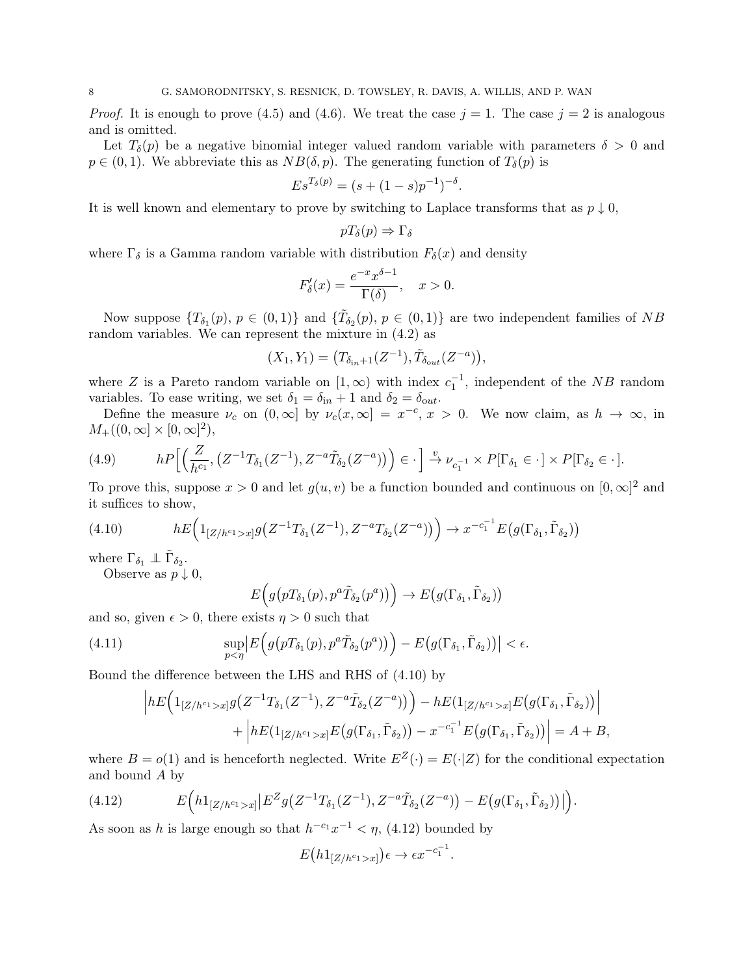*Proof.* It is enough to prove (4.5) and (4.6). We treat the case  $j = 1$ . The case  $j = 2$  is analogous and is omitted.

Let  $T_\delta(p)$  be a negative binomial integer valued random variable with parameters  $\delta > 0$  and  $p \in (0,1)$ . We abbreviate this as  $NB(\delta, p)$ . The generating function of  $T_{\delta}(p)$  is

$$
Es^{T_{\delta}(p)} = (s + (1 - s)p^{-1})^{-\delta}.
$$

It is well known and elementary to prove by switching to Laplace transforms that as  $p \downarrow 0$ ,

$$
pT_{\delta}(p) \Rightarrow \Gamma_{\delta}
$$

where  $\Gamma_{\delta}$  is a Gamma random variable with distribution  $F_{\delta}(x)$  and density

$$
F'_{\delta}(x) = \frac{e^{-x}x^{\delta - 1}}{\Gamma(\delta)}, \quad x > 0.
$$

Now suppose  $\{T_{\delta_1}(p), p \in (0,1)\}\$  and  $\{\tilde{T}_{\delta_2}(p), p \in (0,1)\}\$  are two independent families of NB random variables. We can represent the mixture in (4.2) as

$$
(X_1, Y_1) = (T_{\delta_{\text{in}}+1}(Z^{-1}), \tilde{T}_{\delta_{\text{out}}}(Z^{-a})),
$$

where Z is a Pareto random variable on  $[1,\infty)$  with index  $c_1^{-1}$ , independent of the NB random variables. To ease writing, we set  $\delta_1 = \delta_{in} + 1$  and  $\delta_2 = \delta_{out}$ .

Define the measure  $\nu_c$  on  $(0,\infty]$  by  $\nu_c(x,\infty) = x^{-c}, x > 0$ . We now claim, as  $h \to \infty$ , in  $M_+((0,\infty] \times [0,\infty]^2),$ 

(4.9) hPh <sup>Z</sup> h c1 , Z <sup>−</sup>1Tδ<sup>1</sup> (Z −1 ), Z−aT˜ δ2 (Z −a ) ∈ · i <sup>v</sup><sup>→</sup> <sup>ν</sup><sup>c</sup> −1 1 × P[Γδ<sup>1</sup> ∈ · ] × P[Γδ<sup>2</sup> ∈ · ].

To prove this, suppose  $x > 0$  and let  $g(u, v)$  be a function bounded and continuous on  $[0, \infty]^2$  and it suffices to show,

$$
(4.10) \t\t\t\t hE\Big(1_{[Z/h^{c_1} > x]}g\big(Z^{-1}T_{\delta_1}(Z^{-1}), Z^{-a}T_{\delta_2}(Z^{-a})\big)\Big) \to x^{-c_1^{-1}}E\big(g(\Gamma_{\delta_1}, \tilde{\Gamma}_{\delta_2})\big)
$$

where  $\Gamma_{\delta_1} \perp \tilde{\Gamma}_{\delta_2}$ .

Observe as  $p \downarrow 0$ ,

$$
E(g(pT_{\delta_1}(p), p^a \tilde{T}_{\delta_2}(p^a)) \rightarrow E(g(\Gamma_{\delta_1}, \tilde{\Gamma}_{\delta_2}))
$$

and so, given  $\epsilon > 0$ , there exists  $\eta > 0$  such that

(4.11) 
$$
\sup_{p<\eta} \left| E\Big(g\big(pT_{\delta_1}(p), p^a\tilde{T}_{\delta_2}(p^a)\big)\Big) - E\big(g(\Gamma_{\delta_1}, \tilde{\Gamma}_{\delta_2})\big) \right| < \epsilon.
$$

Bound the difference between the LHS and RHS of (4.10) by

$$
\left| hE\Big(1_{[Z/h^{c_1} > x]} g\big(Z^{-1}T_{\delta_1}(Z^{-1}), Z^{-a}\tilde{T}_{\delta_2}(Z^{-a})\big)\Big) - hE(1_{[Z/h^{c_1} > x]} E\big(g(\Gamma_{\delta_1}, \tilde{\Gamma}_{\delta_2})\big)\right| + \left| hE(1_{[Z/h^{c_1} > x]} E\big(g(\Gamma_{\delta_1}, \tilde{\Gamma}_{\delta_2})\big) - x^{-c_1^{-1}} E\big(g(\Gamma_{\delta_1}, \tilde{\Gamma}_{\delta_2})\big) \right| = A + B,
$$

where  $B = o(1)$  and is henceforth neglected. Write  $E^{Z}(\cdot) = E(\cdot | Z)$  for the conditional expectation and bound A by

(4.12) 
$$
E\Big(h1_{[Z/h^{c_1}>x]}|E^Zg\big(Z^{-1}T_{\delta_1}(Z^{-1}),Z^{-a}\tilde{T}_{\delta_2}(Z^{-a})\big)-E\big(g(\Gamma_{\delta_1},\tilde{\Gamma}_{\delta_2})\big)\big|\Big).
$$

As soon as h is large enough so that  $h^{-c_1}x^{-1} < \eta$ , (4.12) bounded by

$$
E(h1_{[Z/h^{c_1} > x]})\epsilon \to \epsilon x^{-c_1^{-1}}.
$$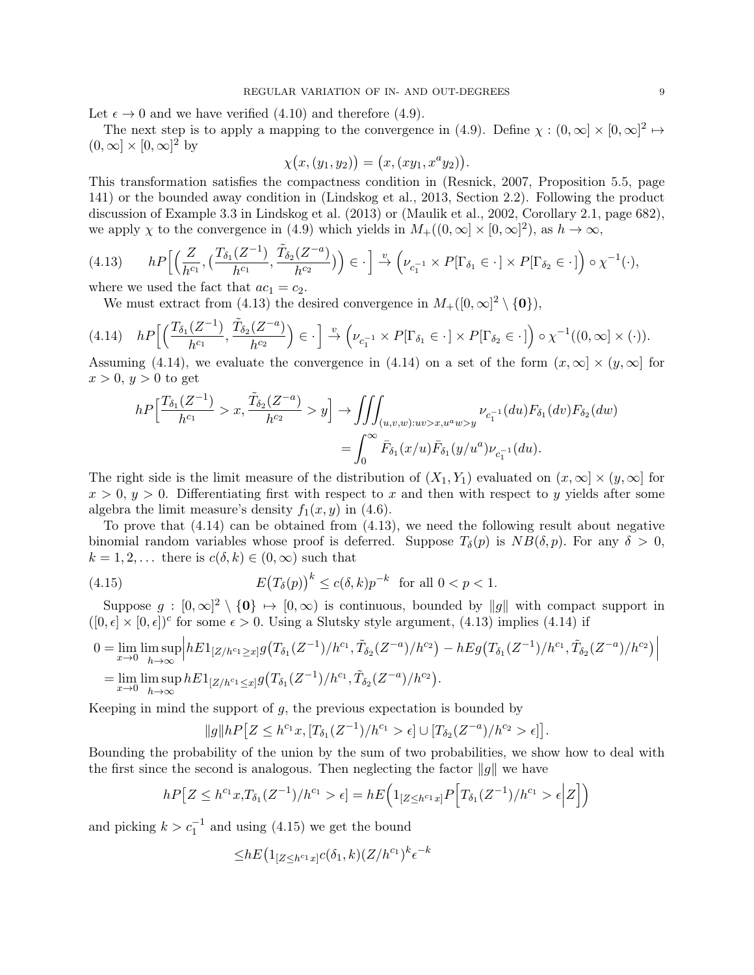Let  $\epsilon \to 0$  and we have verified (4.10) and therefore (4.9).

The next step is to apply a mapping to the convergence in (4.9). Define  $\chi : (0, \infty] \times [0, \infty]^2 \mapsto$  $(0,\infty] \times [0,\infty]^2$  by

$$
\chi(x,(y_1,y_2)) = (x,(xy_1,x^ay_2)).
$$

This transformation satisfies the compactness condition in (Resnick, 2007, Proposition 5.5, page 141) or the bounded away condition in (Lindskog et al., 2013, Section 2.2). Following the product discussion of Example 3.3 in Lindskog et al. (2013) or (Maulik et al., 2002, Corollary 2.1, page 682), we apply  $\chi$  to the convergence in (4.9) which yields in  $M_+((0,\infty] \times [0,\infty]^2)$ , as  $h \to \infty$ ,

$$
(4.13) \qquad hP\Big[\Big(\frac{Z}{h^{c_1}}, \Big(\frac{T_{\delta_1}(Z^{-1})}{h^{c_1}}, \frac{\tilde{T}_{\delta_2}(Z^{-a})}{h^{c_2}}\Big)\Big) \in \cdot\Big] \xrightarrow{v} \Big(\nu_{c_1^{-1}} \times P[\Gamma_{\delta_1} \in \cdot] \times P[\Gamma_{\delta_2} \in \cdot]\Big) \circ \chi^{-1}(\cdot),
$$

where we used the fact that  $ac_1 = c_2$ .

We must extract from (4.13) the desired convergence in  $M_+([0,\infty]^2 \setminus \{0\}),$ 

$$
(4.14) \quad hP\Big[\Big(\frac{T_{\delta_1}(Z^{-1})}{h^{c_1}}, \frac{\tilde{T}_{\delta_2}(Z^{-a})}{h^{c_2}}\Big) \in \cdot\Big] \stackrel{v}{\to} \Big(\nu_{c_1^{-1}} \times P[\Gamma_{\delta_1} \in \cdot] \times P[\Gamma_{\delta_2} \in \cdot]\Big) \circ \chi^{-1}((0, \infty] \times (\cdot)).
$$

Assuming (4.14), we evaluate the convergence in (4.14) on a set of the form  $(x,\infty) \times (y,\infty)$  for  $x > 0$ ,  $y > 0$  to get

$$
hP\Big[\frac{T_{\delta_1}(Z^{-1})}{h^{c_1}} > x, \frac{\tilde{T}_{\delta_2}(Z^{-a})}{h^{c_2}} > y\Big] \to \iiint_{(u,v,w):uv>x, u^a w > y} \nu_{c_1^{-1}}(du) F_{\delta_1}(dv) F_{\delta_2}(dw)
$$
  
= 
$$
\int_0^\infty \bar{F}_{\delta_1}(x/u) \bar{F}_{\delta_1}(y/u^a) \nu_{c_1^{-1}}(du).
$$

The right side is the limit measure of the distribution of  $(X_1, Y_1)$  evaluated on  $(x, \infty] \times (y, \infty]$  for  $x > 0$ ,  $y > 0$ . Differentiating first with respect to x and then with respect to y yields after some algebra the limit measure's density  $f_1(x, y)$  in (4.6).

To prove that (4.14) can be obtained from (4.13), we need the following result about negative binomial random variables whose proof is deferred. Suppose  $T_\delta(p)$  is  $NB(\delta, p)$ . For any  $\delta > 0$ ,  $k = 1, 2, \dots$  there is  $c(\delta, k) \in (0, \infty)$  such that

(4.15) 
$$
E(T_{\delta}(p))^{k} \le c(\delta, k)p^{-k} \text{ for all } 0 < p < 1.
$$

Suppose  $g : [0, \infty]^2 \setminus \{0\} \mapsto [0, \infty)$  is continuous, bounded by  $||g||$  with compact support in  $([0, \epsilon] \times [0, \epsilon])^c$  for some  $\epsilon > 0$ . Using a Slutsky style argument, (4.13) implies (4.14) if

$$
0 = \lim_{x \to 0} \limsup_{h \to \infty} \left| h E1_{[Z/h^{c_1} \ge x]} g(T_{\delta_1}(Z^{-1})/h^{c_1}, \tilde{T}_{\delta_2}(Z^{-a})/h^{c_2}) - h E g(T_{\delta_1}(Z^{-1})/h^{c_1}, \tilde{T}_{\delta_2}(Z^{-a})/h^{c_2}) \right|
$$
  
= 
$$
\lim_{x \to 0} \limsup_{h \to \infty} h E1_{[Z/h^{c_1} \le x]} g(T_{\delta_1}(Z^{-1})/h^{c_1}, \tilde{T}_{\delta_2}(Z^{-a})/h^{c_2}).
$$

Keeping in mind the support of  $g$ , the previous expectation is bounded by

$$
||g||hP[Z \leq h^{c_1}x, [T_{\delta_1}(Z^{-1})/h^{c_1} > \epsilon] \cup [T_{\delta_2}(Z^{-a})/h^{c_2} > \epsilon]].
$$

Bounding the probability of the union by the sum of two probabilities, we show how to deal with the first since the second is analogous. Then neglecting the factor  $||g||$  we have

$$
hP[Z \leq h^{c_1}x,T_{\delta_1}(Z^{-1})/h^{c_1} > \epsilon] = hE\Big(1_{[Z \leq h^{c_1}x]}P\Big[T_{\delta_1}(Z^{-1})/h^{c_1} > \epsilon |Z|\Big]
$$

and picking  $k > c_1^{-1}$  and using (4.15) we get the bound

$$
\leq hE\big(\mathbb{1}_{[Z\leq h^{c_1}x]}c(\delta_1,k)(Z/h^{c_1})^k\epsilon^{-k}
$$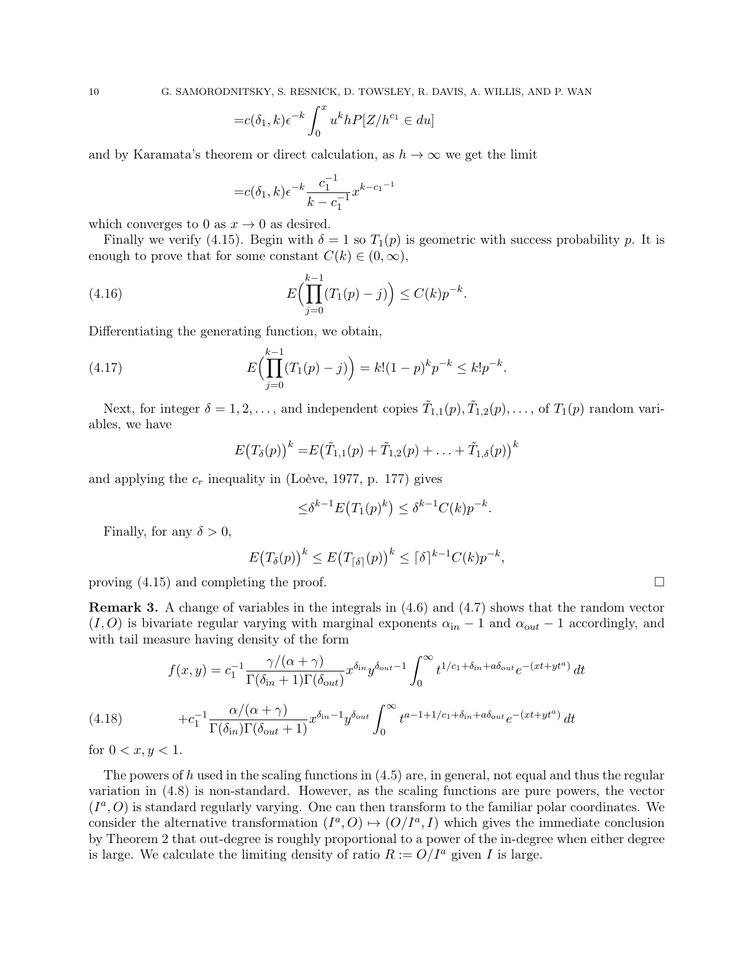10 G. SAMORODNITSKY, S. RESNICK, D. TOWSLEY, R. DAVIS, A. WILLIS, AND P. WAN

$$
=c(\delta_1,k)\epsilon^{-k}\int_0^x u^k h P[Z/h^{c_1}\in du]
$$

and by Karamata's theorem or direct calculation, as  $h \to \infty$  we get the limit

$$
=c(\delta_1,k)\epsilon^{-k}\frac{c_1^{-1}}{k-c_1^{-1}}x^{k-c_1^{-1}}
$$

which converges to 0 as  $x \to 0$  as desired.

Finally we verify (4.15). Begin with  $\delta = 1$  so  $T_1(p)$  is geometric with success probability p. It is enough to prove that for some constant  $C(k) \in (0,\infty)$ ,

(4.16) 
$$
E\Biggl(\prod_{j=0}^{k-1}(T_1(p)-j)\Biggr)\leq C(k)p^{-k}.
$$

Differentiating the generating function, we obtain,

(4.17) 
$$
E\Biggl(\prod_{j=0}^{k-1}(T_1(p)-j)\Biggr)=k!(1-p)^kp^{-k}\leq k!p^{-k}.
$$

Next, for integer  $\delta = 1, 2, \ldots$ , and independent copies  $\tilde{T}_{1,1}(p), \tilde{T}_{1,2}(p), \ldots$ , of  $T_1(p)$  random variables, we have

$$
E(T_{\delta}(p))^{k} = E(\tilde{T}_{1,1}(p) + \tilde{T}_{1,2}(p) + \ldots + \tilde{T}_{1,\delta}(p))^{k}
$$

and applying the  $c_r$  inequality in (Loève, 1977, p. 177) gives

$$
\leq \delta^{k-1} E\big(T_1(p)^k\big) \leq \delta^{k-1} C(k) p^{-k}.
$$

Finally, for any  $\delta > 0$ ,

$$
E(T_{\delta}(p))^{k} \leq E(T_{\lceil \delta \rceil}(p))^{k} \leq \lceil \delta \rceil^{k-1} C(k) p^{-k},
$$

proving  $(4.15)$  and completing the proof.

Remark 3. A change of variables in the integrals in (4.6) and (4.7) shows that the random vector  $(I, O)$  is bivariate regular varying with marginal exponents  $\alpha_{in} - 1$  and  $\alpha_{out} - 1$  accordingly, and with tail measure having density of the form

(4.18) 
$$
f(x,y) = c_1^{-1} \frac{\gamma/(\alpha + \gamma)}{\Gamma(\delta_{\text{in}} + 1)\Gamma(\delta_{\text{out}})} x^{\delta_{\text{in}}} y^{\delta_{\text{out}} - 1} \int_0^\infty t^{1/c_1 + \delta_{\text{in}} + a\delta_{\text{out}}} e^{-(xt + yt^a)} dt
$$

$$
+ c_1^{-1} \frac{\alpha/(\alpha + \gamma)}{\Gamma(\delta_{\text{in}})\Gamma(\delta_{\text{out}} + 1)} x^{\delta_{\text{in}} - 1} y^{\delta_{\text{out}}} \int_0^\infty t^{a - 1 + 1/c_1 + \delta_{\text{in}} + a\delta_{\text{out}}} e^{-(xt + yt^a)} dt
$$

for  $0 < x, y < 1$ .

The powers of h used in the scaling functions in  $(4.5)$  are, in general, not equal and thus the regular variation in (4.8) is non-standard. However, as the scaling functions are pure powers, the vector  $(I^a, O)$  is standard regularly varying. One can then transform to the familiar polar coordinates. We consider the alternative transformation  $(I^a, O) \mapsto (O/I^a, I)$  which gives the immediate conclusion by Theorem 2 that out-degree is roughly proportional to a power of the in-degree when either degree is large. We calculate the limiting density of ratio  $R := O/I^a$  given I is large.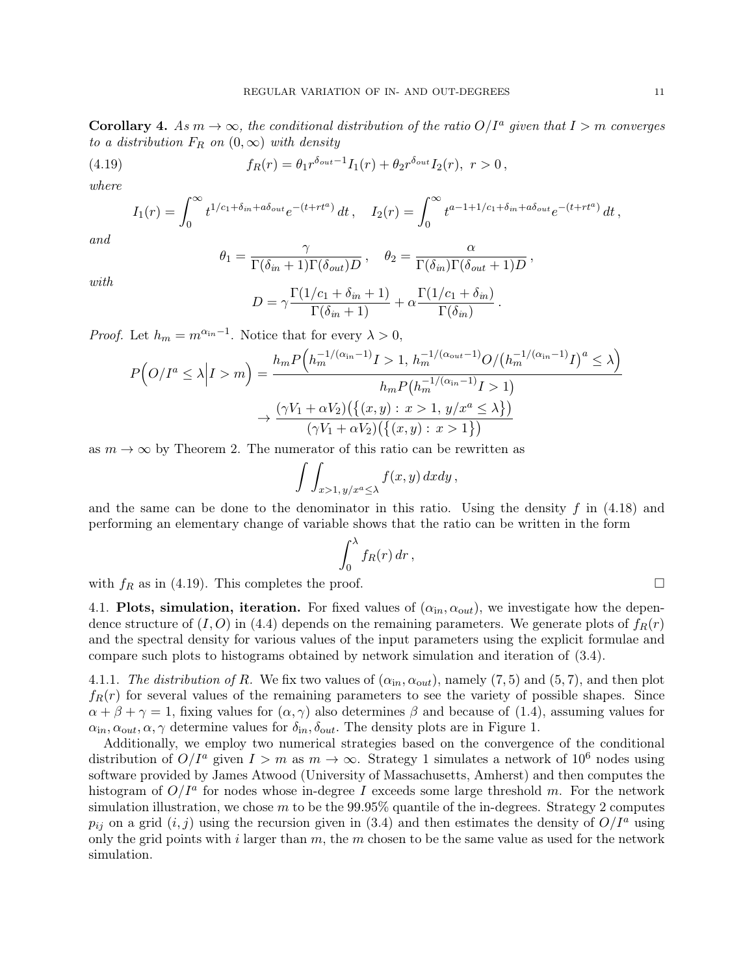**Corollary 4.** As  $m \to \infty$ , the conditional distribution of the ratio  $O/I^a$  given that  $I > m$  converges to a distribution  $F_R$  on  $(0, \infty)$  with density

(4.19) 
$$
f_R(r) = \theta_1 r^{\delta_{out}-1} I_1(r) + \theta_2 r^{\delta_{out}} I_2(r), \ r > 0,
$$

where

$$
I_1(r) = \int_0^\infty t^{1/c_1 + \delta_{in} + a\delta_{out}} e^{-(t + rt^a)} dt, \quad I_2(r) = \int_0^\infty t^{a - 1 + 1/c_1 + \delta_{in} + a\delta_{out}} e^{-(t + rt^a)} dt,
$$

and

with

$$
\theta_1 = \frac{\gamma}{\Gamma(\delta_{in} + 1)\Gamma(\delta_{out})D}, \quad \theta_2 = \frac{\alpha}{\Gamma(\delta_{in})\Gamma(\delta_{out} + 1)D},
$$

$$
D = \gamma \frac{\Gamma(1/c_1 + \delta_{in} + 1)}{\Gamma(\delta_{in} + 1)} + \alpha \frac{\Gamma(1/c_1 + \delta_{in})}{\Gamma(\delta_{in})}.
$$

*Proof.* Let  $h_m = m^{\alpha_{in}-1}$ . Notice that for every  $\lambda > 0$ ,

$$
P\Big(O/I^{a} \leq \lambda \Big| I > m\Big) = \frac{h_m P\Big(h_m^{-1/(\alpha_{\text{in}}-1)} I > 1, h_m^{-1/(\alpha_{\text{out}}-1)} O / \big(h_m^{-1/(\alpha_{\text{in}}-1)} I\big)^{a} \leq \lambda\Big)}{h_m P\big(h_m^{-1/(\alpha_{\text{in}}-1)} I > 1\big)}
$$

$$
\rightarrow \frac{(\gamma V_1 + \alpha V_2) \big(\{(x, y) : x > 1, y/x^{a} \leq \lambda\}\big)}{(\gamma V_1 + \alpha V_2) \big(\{(x, y) : x > 1\}\big)}
$$

as  $m \to \infty$  by Theorem 2. The numerator of this ratio can be rewritten as

$$
\int\int_{x>1, y/x^a\leq \lambda} f(x, y) \, dx dy,
$$

and the same can be done to the denominator in this ratio. Using the density  $f$  in  $(4.18)$  and performing an elementary change of variable shows that the ratio can be written in the form

$$
\int_0^\lambda f_R(r)\,dr\,,
$$

with  $f_R$  as in (4.19). This completes the proof.

4.1. Plots, simulation, iteration. For fixed values of  $(\alpha_{in}, \alpha_{out})$ , we investigate how the dependence structure of  $(I, O)$  in (4.4) depends on the remaining parameters. We generate plots of  $f_R(r)$ and the spectral density for various values of the input parameters using the explicit formulae and compare such plots to histograms obtained by network simulation and iteration of (3.4).

4.1.1. The distribution of R. We fix two values of  $(\alpha_{in}, \alpha_{out})$ , namely  $(7, 5)$  and  $(5, 7)$ , and then plot  $f_R(r)$  for several values of the remaining parameters to see the variety of possible shapes. Since  $\alpha + \beta + \gamma = 1$ , fixing values for  $(\alpha, \gamma)$  also determines  $\beta$  and because of (1.4), assuming values for  $\alpha_{in}, \alpha_{out}, \alpha, \gamma$  determine values for  $\delta_{in}, \delta_{out}$ . The density plots are in Figure 1.

Additionally, we employ two numerical strategies based on the convergence of the conditional distribution of  $O/I^a$  given  $I > m$  as  $m \to \infty$ . Strategy 1 simulates a network of  $10^6$  nodes using software provided by James Atwood (University of Massachusetts, Amherst) and then computes the histogram of  $O/I^a$  for nodes whose in-degree I exceeds some large threshold m. For the network simulation illustration, we chose m to be the  $99.95\%$  quantile of the in-degrees. Strategy 2 computes  $p_{ij}$  on a grid  $(i, j)$  using the recursion given in (3.4) and then estimates the density of  $O/I^a$  using only the grid points with i larger than  $m$ , the  $m$  chosen to be the same value as used for the network simulation.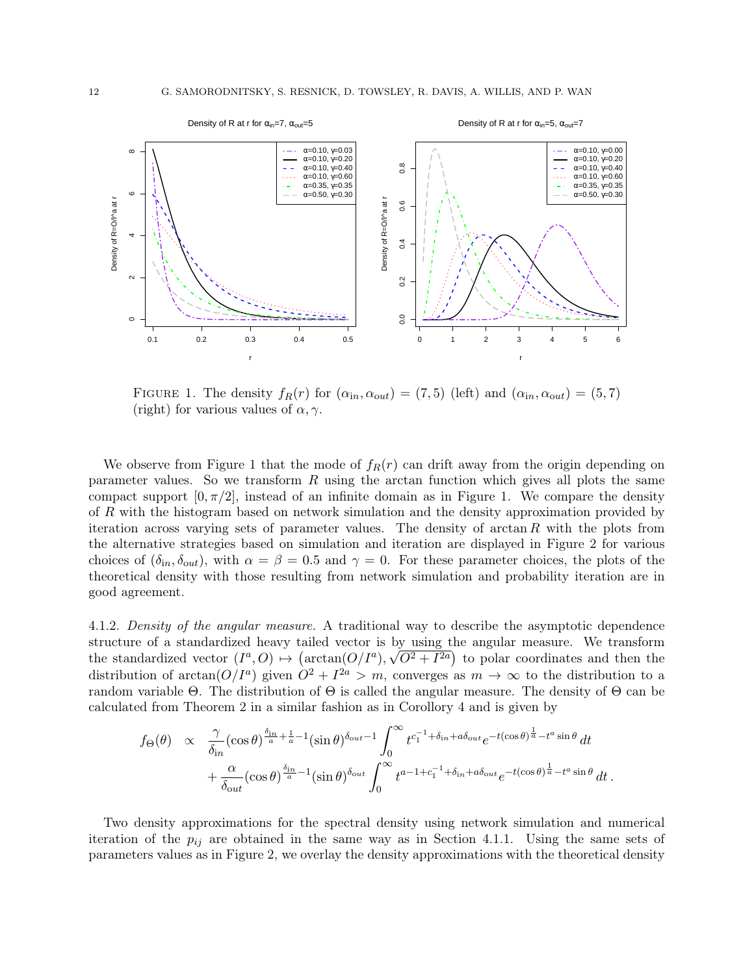

FIGURE 1. The density  $f_R(r)$  for  $(\alpha_{in}, \alpha_{out}) = (7, 5)$  (left) and  $(\alpha_{in}, \alpha_{out}) = (5, 7)$ (right) for various values of  $\alpha$ ,  $\gamma$ .

We observe from Figure 1 that the mode of  $f_R(r)$  can drift away from the origin depending on parameter values. So we transform  $R$  using the arctan function which gives all plots the same compact support  $[0, \pi/2]$ , instead of an infinite domain as in Figure 1. We compare the density of R with the histogram based on network simulation and the density approximation provided by iteration across varying sets of parameter values. The density of  $\arctan R$  with the plots from the alternative strategies based on simulation and iteration are displayed in Figure 2 for various choices of  $(\delta_{in}, \delta_{out})$ , with  $\alpha = \beta = 0.5$  and  $\gamma = 0$ . For these parameter choices, the plots of the theoretical density with those resulting from network simulation and probability iteration are in good agreement.

4.1.2. Density of the angular measure. A traditional way to describe the asymptotic dependence structure of a standardized heavy tailed vector is by using the angular measure. We transform the standardized vector  $(I^a, O) \mapsto (\arctan(O/I^a), \sqrt{O^2 + I^{2a}})$  to polar coordinates and then the distribution of arctan( $O/I^a$ ) given  $O^2 + I^{2a} > m$ , converges as  $m \to \infty$  to the distribution to a random variable  $\Theta$ . The distribution of  $\Theta$  is called the angular measure. The density of  $\Theta$  can be calculated from Theorem 2 in a similar fashion as in Corollory 4 and is given by

$$
f_{\Theta}(\theta) \propto \frac{\gamma}{\delta_{in}} (\cos \theta)^{\frac{\delta_{in}}{a} + \frac{1}{a} - 1} (\sin \theta)^{\delta_{out} - 1} \int_0^{\infty} t^{c_1^{-1} + \delta_{in} + a\delta_{out}} e^{-t(\cos \theta)^{\frac{1}{a}} - t^a \sin \theta} dt + \frac{\alpha}{\delta_{out}} (\cos \theta)^{\frac{\delta_{in}}{a} - 1} (\sin \theta)^{\delta_{out}} \int_0^{\infty} t^{a - 1 + c_1^{-1} + \delta_{in} + a\delta_{out}} e^{-t(\cos \theta)^{\frac{1}{a}} - t^a \sin \theta} dt.
$$

Two density approximations for the spectral density using network simulation and numerical iteration of the  $p_{ij}$  are obtained in the same way as in Section 4.1.1. Using the same sets of parameters values as in Figure 2, we overlay the density approximations with the theoretical density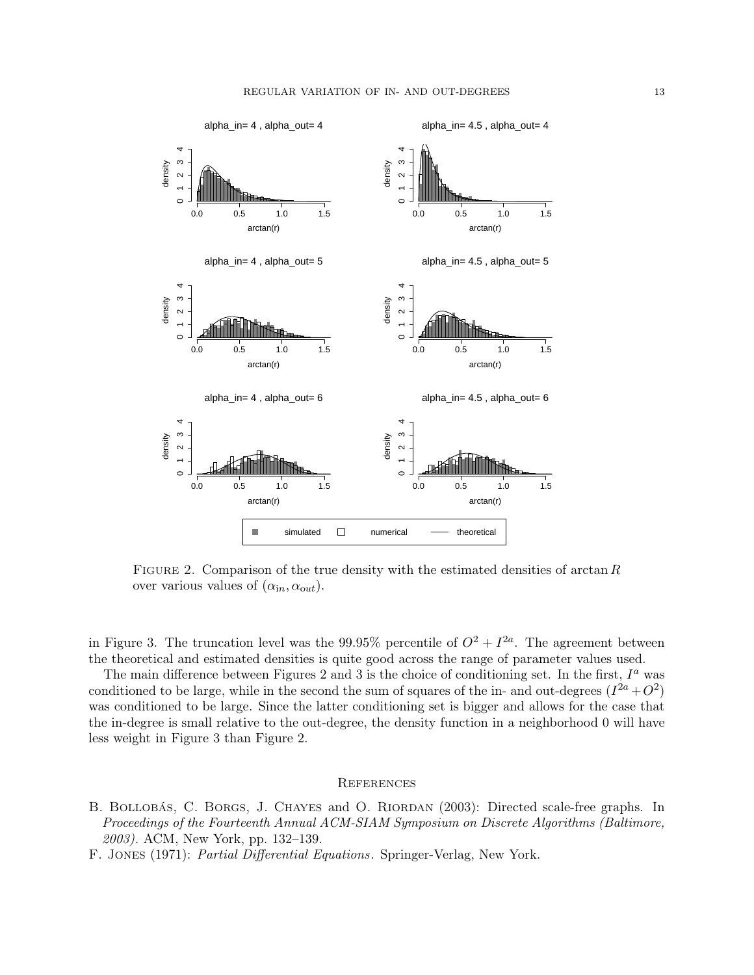

FIGURE 2. Comparison of the true density with the estimated densities of arctan  $R$ over various values of  $(\alpha_{in}, \alpha_{out})$ .

in Figure 3. The truncation level was the 99.95% percentile of  $O^2 + I^{2a}$ . The agreement between the theoretical and estimated densities is quite good across the range of parameter values used.

The main difference between Figures 2 and 3 is the choice of conditioning set. In the first,  $I^a$  was conditioned to be large, while in the second the sum of squares of the in- and out-degrees  $(I^{2a} + O^2)$ was conditioned to be large. Since the latter conditioning set is bigger and allows for the case that the in-degree is small relative to the out-degree, the density function in a neighborhood 0 will have less weight in Figure 3 than Figure 2.

#### **REFERENCES**

- B. Bollobás, C. Borgs, J. Chayes and O. Riordan (2003): Directed scale-free graphs. In Proceedings of the Fourteenth Annual ACM-SIAM Symposium on Discrete Algorithms (Baltimore, 2003). ACM, New York, pp. 132–139.
- F. Jones (1971): Partial Differential Equations. Springer-Verlag, New York.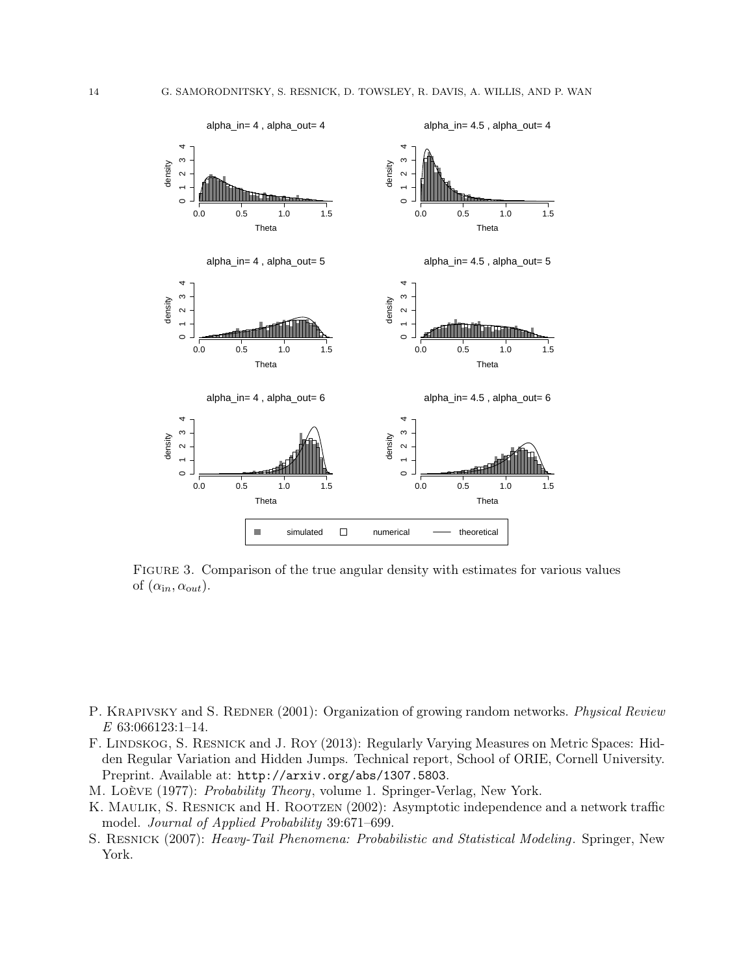

Figure 3. Comparison of the true angular density with estimates for various values of  $(\alpha_{in}, \alpha_{out})$ .

- P. KRAPIVSKY and S. REDNER (2001): Organization of growing random networks. Physical Review E 63:066123:1–14.
- F. Lindskog, S. Resnick and J. Roy (2013): Regularly Varying Measures on Metric Spaces: Hidden Regular Variation and Hidden Jumps. Technical report, School of ORIE, Cornell University. Preprint. Available at: http://arxiv.org/abs/1307.5803.
- M. Loève (1977): Probability Theory, volume 1. Springer-Verlag, New York.
- K. MAULIK, S. RESNICK and H. ROOTZEN (2002): Asymptotic independence and a network traffic model. Journal of Applied Probability 39:671–699.
- S. Resnick (2007): Heavy-Tail Phenomena: Probabilistic and Statistical Modeling. Springer, New York.